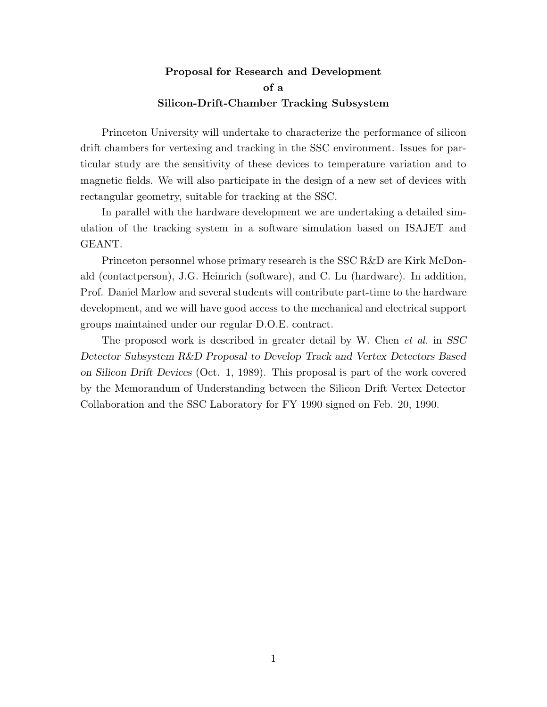## **Proposal for Research and Development of a Silicon-Drift-Chamber Tracking Subsystem**

Princeton University will undertake to characterize the performance of silicon drift chambers for vertexing and tracking in the SSC environment. Issues for particular study are the sensitivity of these devices to temperature variation and to magnetic fields. We will also participate in the design of a new set of devices with rectangular geometry, suitable for tracking at the SSC.

In parallel with the hardware development we are undertaking a detailed simulation of the tracking system in a software simulation based on ISAJET and GEANT.

Princeton personnel whose primary research is the SSC R&D are Kirk McDonald (contactperson), J.G. Heinrich (software), and C. Lu (hardware). In addition, Prof. Daniel Marlow and several students will contribute part-time to the hardware development, and we will have good access to the mechanical and electrical support groups maintained under our regular D.O.E. contract.

The proposed work is described in greater detail by W. Chen *et al.* in *SSC Detector Subsystem R&D Proposal to Develop Track and Vertex Detectors Based on Silicon Drift Devices* (Oct. 1, 1989). This proposal is part of the work covered by the Memorandum of Understanding between the Silicon Drift Vertex Detector Collaboration and the SSC Laboratory for FY 1990 signed on Feb. 20, 1990.